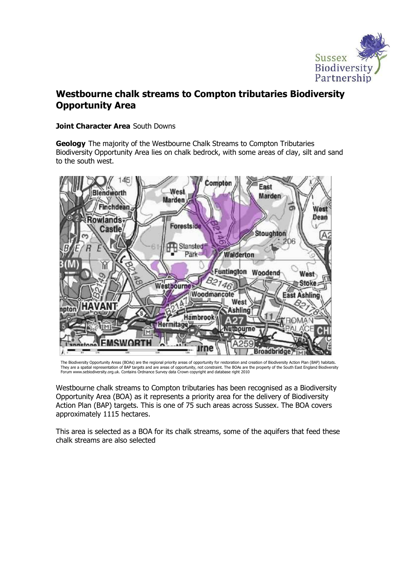

# Westbourne chalk streams to Compton tributaries Biodiversity Opportunity Area

#### Joint Character Area South Downs

**Geology** The majority of the Westbourne Chalk Streams to Compton Tributaries Biodiversity Opportunity Area lies on chalk bedrock, with some areas of clay, silt and sand to the south west.



The Biodiversity Opportunity Areas (BOAs) are the regional priority areas of opportunity for restoration and creation of Biodiversity Action Plan (BAP) habitats. They are a spatial representation of BAP targets and are areas of opportunity, not constraint. The BOAs are the property of the South East England Biodiversity<br>Forum www.sebiodiversity.org.uk. Contains Ordnance Survey data

Westbourne chalk streams to Compton tributaries has been recognised as a Biodiversity Opportunity Area (BOA) as it represents a priority area for the delivery of Biodiversity Action Plan (BAP) targets. This is one of 75 such areas across Sussex. The BOA covers approximately 1115 hectares.

This area is selected as a BOA for its chalk streams, some of the aquifers that feed these chalk streams are also selected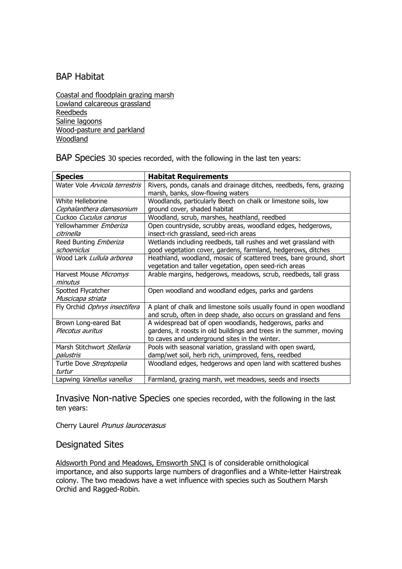# BAP Habitat

Coastal and floodplain grazing marsh Lowland calcareous grassland Reedbeds Saline lagoons Wood-pasture and parkland Woodland

BAP Species 30 species recorded, with the following in the last ten years:

| <b>Species</b>                        | <b>Habitat Requirements</b>                                         |
|---------------------------------------|---------------------------------------------------------------------|
| Water Vole <i>Arvicola terrestris</i> | Rivers, ponds, canals and drainage ditches, reedbeds, fens, grazing |
|                                       | marsh, banks, slow-flowing waters                                   |
| White Helleborine                     | Woodlands, particularly Beech on chalk or limestone soils, low      |
| Cephalanthera damasonium              | ground cover, shaded habitat                                        |
| Cuckoo Cuculus canorus                | Woodland, scrub, marshes, heathland, reedbed                        |
| Yellowhammer <i>Emberiza</i>          | Open countryside, scrubby areas, woodland edges, hedgerows,         |
| citrinella                            | insect-rich grassland, seed-rich areas                              |
| Reed Bunting <i>Emberiza</i>          | Wetlands including reedbeds, tall rushes and wet grassland with     |
| schoeniclus                           | good vegetation cover, gardens, farmland, hedgerows, ditches        |
| Wood Lark Lullula arborea             | Heathland, woodland, mosaic of scattered trees, bare ground, short  |
|                                       | vegetation and taller vegetation, open seed-rich areas              |
| Harvest Mouse Micromys                | Arable margins, hedgerows, meadows, scrub, reedbeds, tall grass     |
| minutus                               |                                                                     |
| Spotted Flycatcher                    | Open woodland and woodland edges, parks and gardens                 |
| Muscicapa striata                     |                                                                     |
| Fly Orchid Ophrys insectifera         | A plant of chalk and limestone soils usually found in open woodland |
|                                       | and scrub, often in deep shade, also occurs on grassland and fens   |
| Brown Long-eared Bat                  | A widespread bat of open woodlands, hedgerows, parks and            |
| Plecotus auritus                      | gardens, it roosts in old buildings and trees in the summer, moving |
|                                       | to caves and underground sites in the winter.                       |
| Marsh Stitchwort Stellaria            | Pools with seasonal variation, grassland with open sward,           |
| palustris                             | damp/wet soil, herb rich, unimproved, fens, reedbed                 |
| Turtle Dove Streptopelia              | Woodland edges, hedgerows and open land with scattered bushes       |
| turtur                                |                                                                     |
| Lapwing Vanellus vanellus             | Farmland, grazing marsh, wet meadows, seeds and insects             |

Invasive Non-native Species one species recorded, with the following in the last ten years:

Cherry Laurel Prunus laurocerasus

### Designated Sites

Aldsworth Pond and Meadows, Emsworth SNCI is of considerable ornithological importance, and also supports large numbers of dragonflies and a White-letter Hairstreak colony. The two meadows have a wet influence with species such as Southern Marsh Orchid and Ragged-Robin.